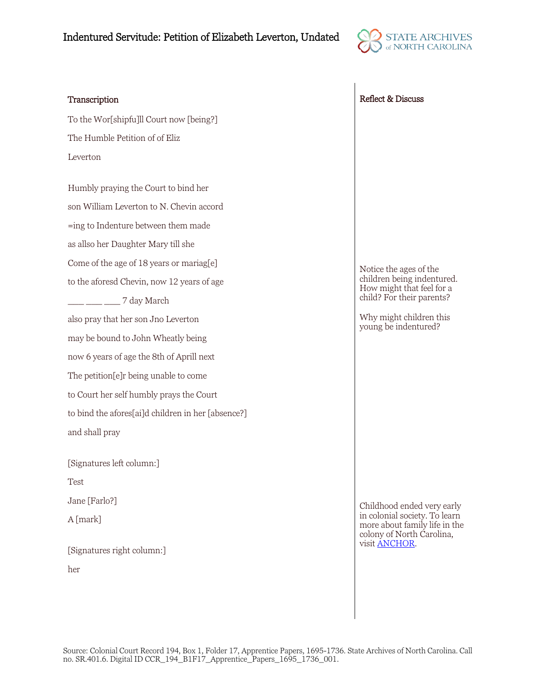## Indentured Servitude: Petition of Elizabeth Leverton, Undated



To the Wor[shipfu]ll Court now [being?] The Humble Petition of of Eliz Leverton

Humbly praying the Court to bind her son William Leverton to N. Chevin accord =ing to Indenture between them made as allso her Daughter Mary till she Come of the age of 18 years or mariag[e] to the aforesd Chevin, now 12 years of age \_\_\_ \_\_\_ \_\_\_ 7 day March also pray that her son Jno Leverton may be bound to John Wheatly being now 6 years of age the 8th of Aprill next The petition[e]r being unable to come to Court her self humbly prays the Court to bind the afores[ai]d children in her [absence?] and shall pray

[Signatures left column:]

Test

Jane [Farlo?]

A [mark]

[Signatures right column:] her

Transcription Reflect & Discuss

Notice the ages of the children being indentured. How might that feel for a child? For their parents?

Why might children this young be indentured?

Childhood ended very early in colonial society. To learn more about family life in the colony of North Carolina, visit [ANCHOR.](https://www.ncpedia.org/anchor/families-colonial-north)